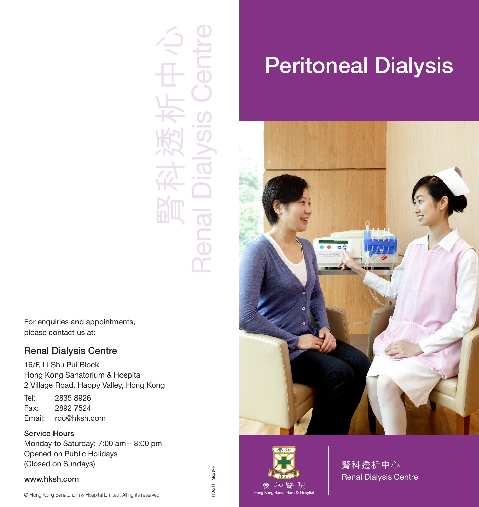

For enquiries and appointments, please contact us at:

#### Renal Dialysis Centre

16/F, Li Shu Pui Block Hong Kong Sanatorium & Hospital 2 Village Road, Happy Valley, Hong Kong Tel: 2835 8926

Fax: 2892 7524 Email: rdc@hksh.com

#### Service Hours

Monday to Saturday: 7:00 am – 8:00 pm Opened on Public Holidays (Closed on Sundays)

#### www.hksh.com

#### HMF2B HMF2B 11/2011  $110Z/11$

# Peritoneal Dialysis





腎科透析中心 Renal Dialysis Centre